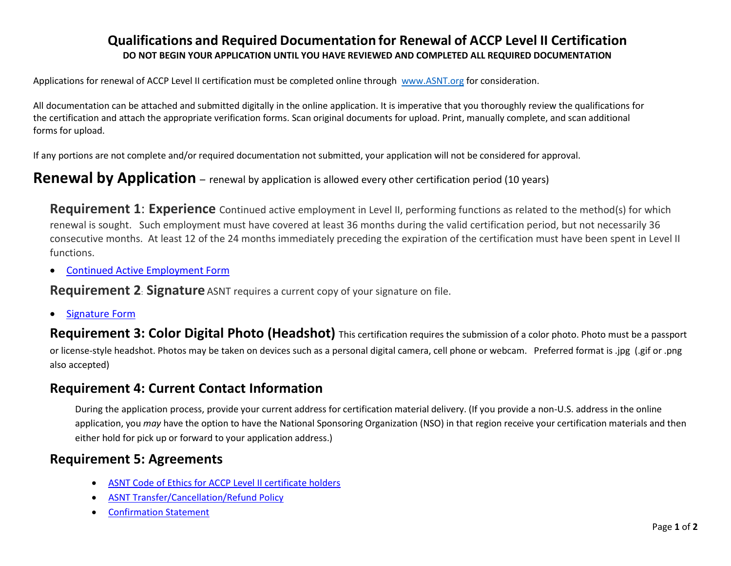### **Qualifications and Required Documentation for Renewal of ACCP Level II Certification DO NOT BEGIN YOUR APPLICATION UNTIL YOU HAVE REVIEWED AND COMPLETED ALL REQUIRED DOCUMENTATION**

Applications for renewal of ACCP Level II certification must be completed online through [www.ASNT.org](http://www.asnt.org/) for consideration.

All documentation can be attached and submitted digitally in the online application. It is imperative that you thoroughly review the qualifications for the certification and attach the appropriate verification forms. Scan original documents for upload. Print, manually complete, and scan additional forms for upload.

If any portions are not complete and/or required documentation not submitted, your application will not be considered for approval.

### **Renewal by Application** – renewal by application is allowed every other certification period (10 years)

**Requirement 1: Experience** Continued active employment in Level II, performing functions as related to the method(s) for which renewal is sought. Such employment must have covered at least 36 months during the valid certification period, but not necessarily 36 consecutive months. At least 12 of the 24 months immediately preceding the expiration of the certification must have been spent in Level II functions.

• [Continued Active Employment Form](https://asnt.org/~/media/Files/Certification/ACCP/Level-II/A2_Continued-Employment)

**Requirement 2: Signature** ASNT requires a current copy of your signature on file.

• [Signature Form](https://asnt.org/~/media/Files/Certification/General/Signature-Form)

**Requirement 3: Color Digital Photo (Headshot)** This certification requires the submission of a color photo. Photo must be a passport or license-style headshot. Photos may be taken on devices such as a personal digital camera, cell phone or webcam. Preferred format is .jpg (.gif or .png also accepted)

## **Requirement 4: Current Contact Information**

During the application process, provide your current address for certification material delivery. (If you provide a non-U.S. address in the online application, you *may* have the option to have the National Sponsoring Organization (NSO) in that region receive your certification materials and then either hold for pick up or forward to your application address.)

## **Requirement 5: Agreements**

- [ASNT Code of Ethics for ACCP](https://asnt.org/~/media/Files/Certification/ACCP/Level-II/A2_Code-of-Ethics) Level II certificate holders
- [ASNT Transfer/Cancellation/Refund Policy](https://asnt.org/~/media/Files/Certification/General/Transfer-Policy)
- [Confirmation Statement](https://asnt.org/~/media/Files/Certification/ACCP/Level-II/A2_Confirm-Statements)